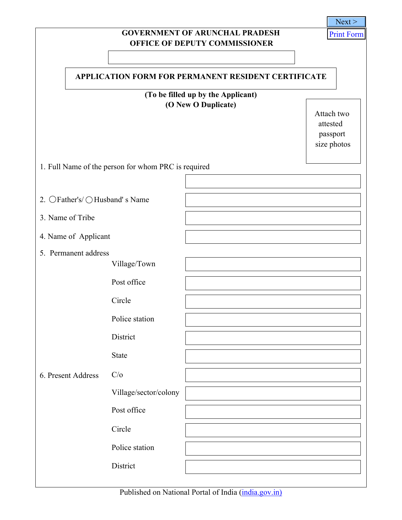|                                                            |                                                     |                                       | Next >            |  |  |  |  |  |  |  |  |
|------------------------------------------------------------|-----------------------------------------------------|---------------------------------------|-------------------|--|--|--|--|--|--|--|--|
|                                                            |                                                     | <b>GOVERNMENT OF ARUNCHAL PRADESH</b> | <b>Print Form</b> |  |  |  |  |  |  |  |  |
|                                                            |                                                     | <b>OFFICE OF DEPUTY COMMISSIONER</b>  |                   |  |  |  |  |  |  |  |  |
|                                                            |                                                     |                                       |                   |  |  |  |  |  |  |  |  |
| <b>APPLICATION FORM FOR PERMANENT RESIDENT CERTIFICATE</b> |                                                     |                                       |                   |  |  |  |  |  |  |  |  |
|                                                            |                                                     | (To be filled up by the Applicant)    |                   |  |  |  |  |  |  |  |  |
|                                                            | Attach two                                          |                                       |                   |  |  |  |  |  |  |  |  |
|                                                            |                                                     |                                       | attested          |  |  |  |  |  |  |  |  |
|                                                            |                                                     |                                       | passport          |  |  |  |  |  |  |  |  |
|                                                            |                                                     |                                       | size photos       |  |  |  |  |  |  |  |  |
|                                                            | 1. Full Name of the person for whom PRC is required |                                       |                   |  |  |  |  |  |  |  |  |
|                                                            |                                                     |                                       |                   |  |  |  |  |  |  |  |  |
| 2. ○Father's/ ○ Husband' s Name                            |                                                     |                                       |                   |  |  |  |  |  |  |  |  |
| 3. Name of Tribe                                           |                                                     |                                       |                   |  |  |  |  |  |  |  |  |
| 4. Name of Applicant                                       |                                                     |                                       |                   |  |  |  |  |  |  |  |  |
| 5. Permanent address                                       |                                                     |                                       |                   |  |  |  |  |  |  |  |  |
|                                                            | Village/Town                                        |                                       |                   |  |  |  |  |  |  |  |  |
|                                                            | Post office                                         |                                       |                   |  |  |  |  |  |  |  |  |
|                                                            | Circle                                              |                                       |                   |  |  |  |  |  |  |  |  |
|                                                            | Police station                                      |                                       |                   |  |  |  |  |  |  |  |  |
|                                                            | District                                            |                                       |                   |  |  |  |  |  |  |  |  |
|                                                            | <b>State</b>                                        |                                       |                   |  |  |  |  |  |  |  |  |
| 6. Present Address                                         | C/O                                                 |                                       |                   |  |  |  |  |  |  |  |  |
|                                                            | Village/sector/colony                               |                                       |                   |  |  |  |  |  |  |  |  |
|                                                            | Post office                                         |                                       |                   |  |  |  |  |  |  |  |  |
|                                                            | Circle                                              |                                       |                   |  |  |  |  |  |  |  |  |
|                                                            | Police station                                      |                                       |                   |  |  |  |  |  |  |  |  |
|                                                            | District                                            |                                       |                   |  |  |  |  |  |  |  |  |
|                                                            |                                                     |                                       |                   |  |  |  |  |  |  |  |  |